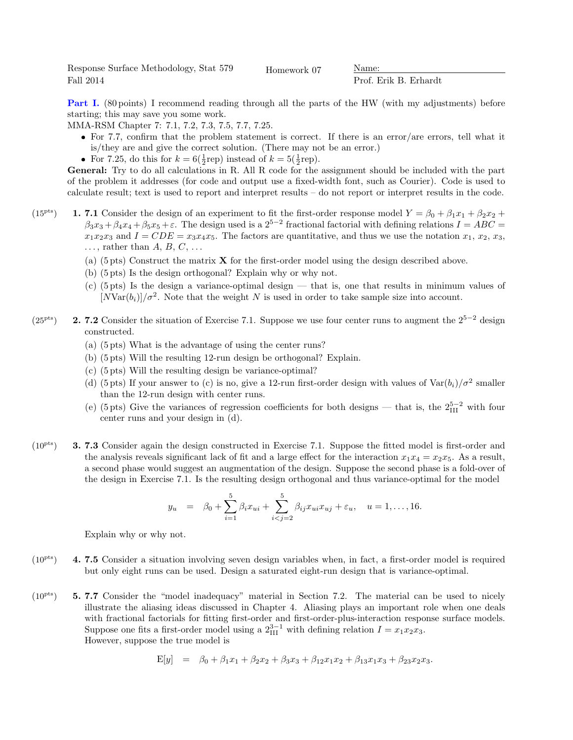Response Surface Methodology, Stat 579 Fall 2014

Homework 07 Name:

Prof. Erik B. Erhardt

Part I. (80 points) I recommend reading through all the parts of the HW (with my adjustments) before starting; this may save you some work.

MMA-RSM Chapter 7: 7.1, 7.2, 7.3, 7.5, 7.7, 7.25.

- For 7.7, confirm that the problem statement is correct. If there is an error/are errors, tell what it is/they are and give the correct solution. (There may not be an error.)
- For 7.25, do this for  $k = 6(\frac{1}{2} \text{rep})$  instead of  $k = 5(\frac{1}{2} \text{rep})$ .

General: Try to do all calculations in R. All R code for the assignment should be included with the part of the problem it addresses (for code and output use a fixed-width font, such as Courier). Code is used to calculate result; text is used to report and interpret results – do not report or interpret results in the code.

- (15<sup>pts</sup>) 1. 7.1 Consider the design of an experiment to fit the first-order response model  $Y = \beta_0 + \beta_1 x_1 + \beta_2 x_2 +$  $\beta_3x_3+\beta_4x_4+\beta_5x_5+\varepsilon$ . The design used is a  $2^{5-2}$  fractional factorial with defining relations  $I=ABC=$  $x_1x_2x_3$  and  $I = CDE = x_3x_4x_5$ . The factors are quantitative, and thus we use the notation  $x_1, x_2, x_3$ ,  $\ldots$ , rather than  $A, B, C, \ldots$ 
	- (a)  $(5 \text{ pts})$  Construct the matrix **X** for the first-order model using the design described above.
	- (b) (5 pts) Is the design orthogonal? Explain why or why not.
	- (c) (5 pts) Is the design a variance-optimal design that is, one that results in minimum values of  $[NVar(b_i)]/\sigma^2$ . Note that the weight N is used in order to take sample size into account.
- $(25<sup>pts</sup>)$  2. 7.2 Consider the situation of Exercise 7.1. Suppose we use four center runs to augment the  $2<sup>5−2</sup>$  design constructed.
	- (a) (5 pts) What is the advantage of using the center runs?
	- (b) (5 pts) Will the resulting 12-run design be orthogonal? Explain.
	- (c) (5 pts) Will the resulting design be variance-optimal?
	- (d) (5 pts) If your answer to (c) is no, give a 12-run first-order design with values of  $Var(b_i)/\sigma^2$  smaller than the 12-run design with center runs.
	- (e) (5 pts) Give the variances of regression coefficients for both designs that is, the  $2_{\text{III}}^{5-2}$  with four center runs and your design in (d).
- $(10<sup>pts</sup>)$  **3. 7.3** Consider again the design constructed in Exercise 7.1. Suppose the fitted model is first-order and the analysis reveals significant lack of fit and a large effect for the interaction  $x_1x_4 = x_2x_5$ . As a result, a second phase would suggest an augmentation of the design. Suppose the second phase is a fold-over of the design in Exercise 7.1. Is the resulting design orthogonal and thus variance-optimal for the model

$$
y_u = \beta_0 + \sum_{i=1}^5 \beta_i x_{ui} + \sum_{i < j=2}^5 \beta_{ij} x_{ui} x_{uj} + \varepsilon_u, \quad u = 1, \dots, 16.
$$

Explain why or why not.

- $(10<sup>pts</sup>)$  4. 7.5 Consider a situation involving seven design variables when, in fact, a first-order model is required but only eight runs can be used. Design a saturated eight-run design that is variance-optimal.
- $(10<sup>pts</sup>)$  5. 7.7 Consider the "model inadequacy" material in Section 7.2. The material can be used to nicely illustrate the aliasing ideas discussed in Chapter 4. Aliasing plays an important role when one deals with fractional factorials for fitting first-order and first-order-plus-interaction response surface models. Suppose one fits a first-order model using a  $2_{\text{III}}^{3-1}$  with defining relation  $I = x_1 x_2 x_3$ . However, suppose the true model is

$$
E[y] = \beta_0 + \beta_1 x_1 + \beta_2 x_2 + \beta_3 x_3 + \beta_{12} x_1 x_2 + \beta_{13} x_1 x_3 + \beta_{23} x_2 x_3.
$$